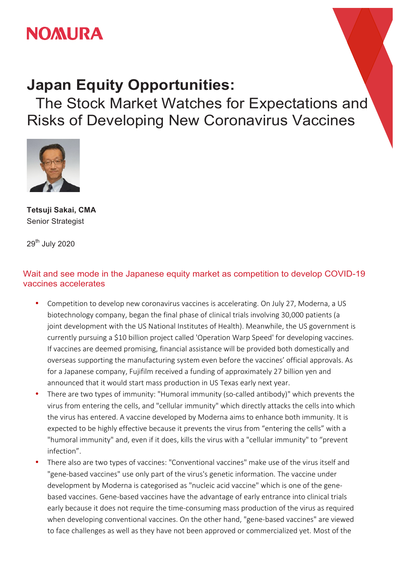

## **Japan Equity Opportunities:**

The Stock Market Watches for Expectations and Risks of Developing New Coronavirus Vaccines



**Tetsuji Sakai, CMA** Senior Strategist

29<sup>th</sup> July 2020

## Wait and see mode in the Japanese equity market as competition to develop COVID-19 vaccines accelerates

- Competition to develop new coronavirus vaccines is accelerating. On July 27, Moderna, a US biotechnology company, began the final phase of clinical trials involving 30,000 patients (a joint development with the US National Institutes of Health). Meanwhile, the US government is currently pursuing a \$10 billion project called 'Operation Warp Speed' for developing vaccines. If vaccines are deemed promising, financial assistance will be provided both domestically and overseas supporting the manufacturing system even before the vaccines' official approvals. As for a Japanese company, Fujifilm received a funding of approximately 27 billion yen and announced that it would start mass production in US Texas early next year.
- There are two types of immunity: "Humoral immunity (so-called antibody)" which prevents the virus from entering the cells, and "cellular immunity" which directly attacks the cells into which the virus has entered. A vaccine developed by Moderna aims to enhance both immunity. It is expected to be highly effective because it prevents the virus from "entering the cells" with a "humoral immunity" and, even if it does, kills the virus with a "cellular immunity" to "prevent infection".
- There also are two types of vaccines: "Conventional vaccines" make use of the virus itself and "gene-based vaccines" use only part of the virus's genetic information. The vaccine under development by Moderna is categorised as "nucleic acid vaccine" which is one of the genebased vaccines. Gene-based vaccines have the advantage of early entrance into clinical trials early because it does not require the time-consuming mass production of the virus as required when developing conventional vaccines. On the other hand, "gene-based vaccines" are viewed to face challenges as well as they have not been approved or commercialized yet. Most of the